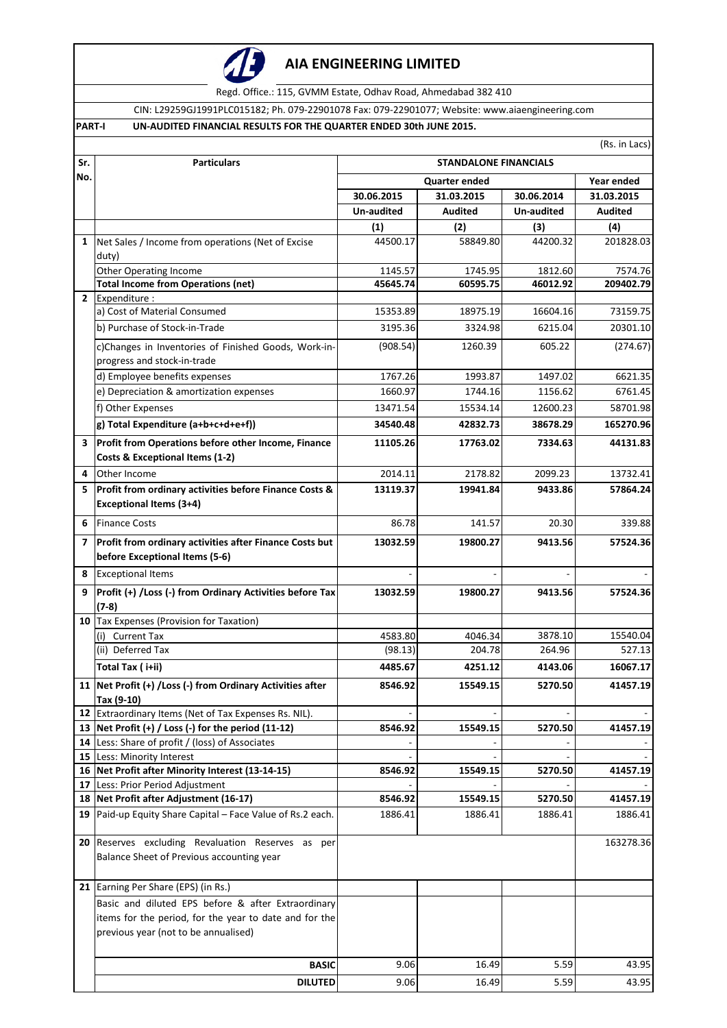

## **AIA ENGINEERING LIMITED**

Regd. Office.: 115, GVMM Estate, Odhav Road, Ahmedabad 382 410

CIN: L29259GJ1991PLC015182; Ph. 079-22901078 Fax: 079-22901077; Website: www.aiaengineering.com

### **PART-I UN-AUDITED FINANCIAL RESULTS FOR THE QUARTER ENDED 30th JUNE 2015.**

(Rs. in Lacs)

| Sr.            | <b>Particulars</b>                                                                             | <b>STANDALONE FINANCIALS</b>       |                |            |            |  |
|----------------|------------------------------------------------------------------------------------------------|------------------------------------|----------------|------------|------------|--|
| No.            |                                                                                                | <b>Quarter ended</b><br>Year ended |                |            |            |  |
|                |                                                                                                | 30.06.2015                         | 31.03.2015     | 30.06.2014 | 31.03.2015 |  |
|                |                                                                                                | Un-audited                         | <b>Audited</b> | Un-audited | Audited    |  |
|                |                                                                                                | (1)                                | (2)            | (3)        | (4)        |  |
| $\mathbf{1}$   | Net Sales / Income from operations (Net of Excise                                              | 44500.17                           | 58849.80       | 44200.32   | 201828.03  |  |
|                | duty)                                                                                          |                                    |                |            |            |  |
|                | <b>Other Operating Income</b>                                                                  | 1145.57                            | 1745.95        | 1812.60    | 7574.76    |  |
| $\overline{2}$ | <b>Total Income from Operations (net)</b><br>Expenditure:                                      | 45645.74                           | 60595.75       | 46012.92   | 209402.79  |  |
|                | a) Cost of Material Consumed                                                                   | 15353.89                           | 18975.19       | 16604.16   | 73159.75   |  |
|                | b) Purchase of Stock-in-Trade                                                                  | 3195.36                            | 3324.98        | 6215.04    | 20301.10   |  |
|                |                                                                                                |                                    |                |            |            |  |
|                | c)Changes in Inventories of Finished Goods, Work-in-<br>progress and stock-in-trade            | (908.54)                           | 1260.39        | 605.22     | (274.67)   |  |
|                | d) Employee benefits expenses                                                                  | 1767.26                            | 1993.87        | 1497.02    | 6621.35    |  |
|                | e) Depreciation & amortization expenses                                                        | 1660.97                            | 1744.16        | 1156.62    | 6761.45    |  |
|                | f) Other Expenses                                                                              | 13471.54                           | 15534.14       | 12600.23   | 58701.98   |  |
|                | g) Total Expenditure (a+b+c+d+e+f))                                                            | 34540.48                           | 42832.73       | 38678.29   | 165270.96  |  |
| 3              | Profit from Operations before other Income, Finance                                            | 11105.26                           | 17763.02       | 7334.63    | 44131.83   |  |
|                | Costs & Exceptional Items (1-2)                                                                |                                    |                |            |            |  |
| 4              | Other Income                                                                                   | 2014.11                            | 2178.82        | 2099.23    | 13732.41   |  |
| 5              | Profit from ordinary activities before Finance Costs &                                         | 13119.37                           | 19941.84       | 9433.86    | 57864.24   |  |
|                | <b>Exceptional Items (3+4)</b>                                                                 |                                    |                |            |            |  |
| 6              | <b>Finance Costs</b>                                                                           | 86.78                              | 141.57         | 20.30      | 339.88     |  |
| 7              | Profit from ordinary activities after Finance Costs but<br>before Exceptional Items (5-6)      | 13032.59                           | 19800.27       | 9413.56    | 57524.36   |  |
| 8              | <b>Exceptional Items</b>                                                                       |                                    |                |            |            |  |
| 9              | Profit (+) / Loss (-) from Ordinary Activities before Tax                                      | 13032.59                           | 19800.27       | 9413.56    | 57524.36   |  |
|                | $(7-8)$                                                                                        |                                    |                |            |            |  |
|                | 10 Tax Expenses (Provision for Taxation)                                                       |                                    |                |            |            |  |
|                | (i) Current Tax                                                                                | 4583.80                            | 4046.34        | 3878.10    | 15540.04   |  |
|                | (ii) Deferred Tax                                                                              | (98.13)                            | 204.78         | 264.96     | 527.13     |  |
|                | Total Tax (i+ii)                                                                               | 4485.67                            | 4251.12        | 4143.06    | 16067.17   |  |
|                | 11 Net Profit (+) / Loss (-) from Ordinary Activities after<br>Tax (9-10)                      | 8546.92                            | 15549.15       | 5270.50    | 41457.19   |  |
|                | 12 Extraordinary Items (Net of Tax Expenses Rs. NIL).                                          |                                    |                |            |            |  |
|                | 13   Net Profit $(+)$ / Loss $(-)$ for the period $(11-12)$                                    | 8546.92                            | 15549.15       | 5270.50    | 41457.19   |  |
|                | 14 Less: Share of profit / (loss) of Associates                                                |                                    |                |            |            |  |
|                | 15 Less: Minority Interest                                                                     |                                    |                |            |            |  |
|                | 16 Net Profit after Minority Interest (13-14-15)                                               | 8546.92                            | 15549.15       | 5270.50    | 41457.19   |  |
|                | <b>17 Less: Prior Period Adjustment</b>                                                        |                                    |                |            |            |  |
|                | 18 Net Profit after Adjustment (16-17)                                                         | 8546.92                            | 15549.15       | 5270.50    | 41457.19   |  |
|                | 19 Paid-up Equity Share Capital – Face Value of Rs.2 each.                                     | 1886.41                            | 1886.41        | 1886.41    | 1886.41    |  |
|                | 20 Reserves excluding Revaluation Reserves as per<br>Balance Sheet of Previous accounting year |                                    |                |            | 163278.36  |  |
|                | 21 Earning Per Share (EPS) (in Rs.)                                                            |                                    |                |            |            |  |
|                | Basic and diluted EPS before & after Extraordinary                                             |                                    |                |            |            |  |
|                | items for the period, for the year to date and for the<br>previous year (not to be annualised) |                                    |                |            |            |  |
|                | <b>BASIC</b>                                                                                   | 9.06                               | 16.49          | 5.59       | 43.95      |  |
|                | <b>DILUTED</b>                                                                                 | 9.06                               | 16.49          | 5.59       | 43.95      |  |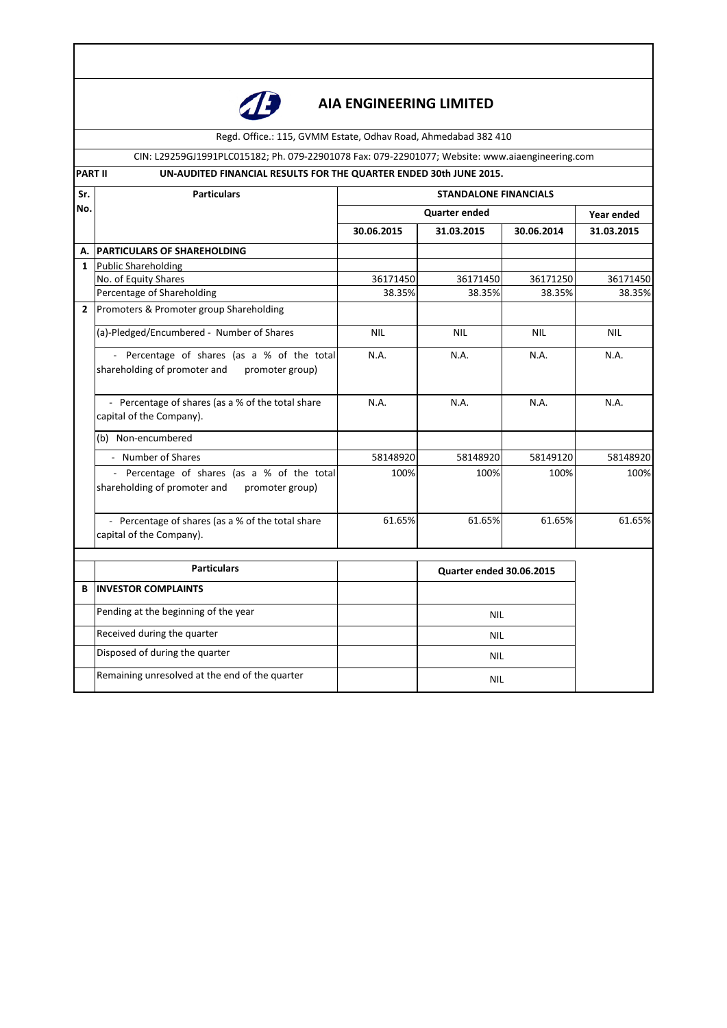

# **AIA ENGINEERING LIMITED**

Regd. Office.: 115, GVMM Estate, Odhav Road, Ahmedabad 382 410

CIN: L29259GJ1991PLC015182; Ph. 079-22901078 Fax: 079-22901077; Website: www.aiaengineering.com

**PART II** UN-AUDITED FINANCIAL RESULTS FOR THE QUARTER ENDED 30th JUNE 2015.

| Sr.            | <b>Particulars</b>                                                                             | <b>STANDALONE FINANCIALS</b> |                                 |            |            |
|----------------|------------------------------------------------------------------------------------------------|------------------------------|---------------------------------|------------|------------|
| No.            |                                                                                                | <b>Quarter ended</b>         |                                 |            | Year ended |
|                |                                                                                                | 30.06.2015                   | 31.03.2015                      | 30.06.2014 | 31.03.2015 |
| А.             | <b>PARTICULARS OF SHAREHOLDING</b>                                                             |                              |                                 |            |            |
| $\mathbf{1}$   | <b>Public Shareholding</b>                                                                     |                              |                                 |            |            |
|                | No. of Equity Shares                                                                           | 36171450                     | 36171450                        | 36171250   | 36171450   |
|                | Percentage of Shareholding                                                                     | 38.35%                       | 38.35%                          | 38.35%     | 38.35%     |
| $\overline{2}$ | Promoters & Promoter group Shareholding                                                        |                              |                                 |            |            |
|                | (a)-Pledged/Encumbered - Number of Shares                                                      | <b>NIL</b>                   | <b>NIL</b>                      | <b>NIL</b> | <b>NIL</b> |
|                | - Percentage of shares (as a % of the total<br>shareholding of promoter and<br>promoter group) | N.A.                         | N.A.                            | N.A.       | N.A.       |
|                | - Percentage of shares (as a % of the total share<br>capital of the Company).                  | N.A.                         | N.A.                            | N.A.       | N.A.       |
|                | (b) Non-encumbered                                                                             |                              |                                 |            |            |
|                | - Number of Shares                                                                             | 58148920                     | 58148920                        | 58149120   | 58148920   |
|                | Percentage of shares (as a % of the total<br>shareholding of promoter and<br>promoter group)   | 100%                         | 100%                            | 100%       | 100%       |
|                | - Percentage of shares (as a % of the total share<br>capital of the Company).                  | 61.65%                       | 61.65%                          | 61.65%     | 61.65%     |
|                | <b>Particulars</b>                                                                             |                              | <b>Quarter ended 30.06.2015</b> |            |            |
| В              | <b>INVESTOR COMPLAINTS</b>                                                                     |                              |                                 |            |            |
|                | Pending at the beginning of the year                                                           |                              | <b>NIL</b>                      |            |            |
|                | Received during the quarter                                                                    |                              | <b>NIL</b>                      |            |            |
|                | Disposed of during the quarter                                                                 |                              | <b>NIL</b>                      |            |            |
|                | Remaining unresolved at the end of the quarter                                                 |                              | <b>NIL</b>                      |            |            |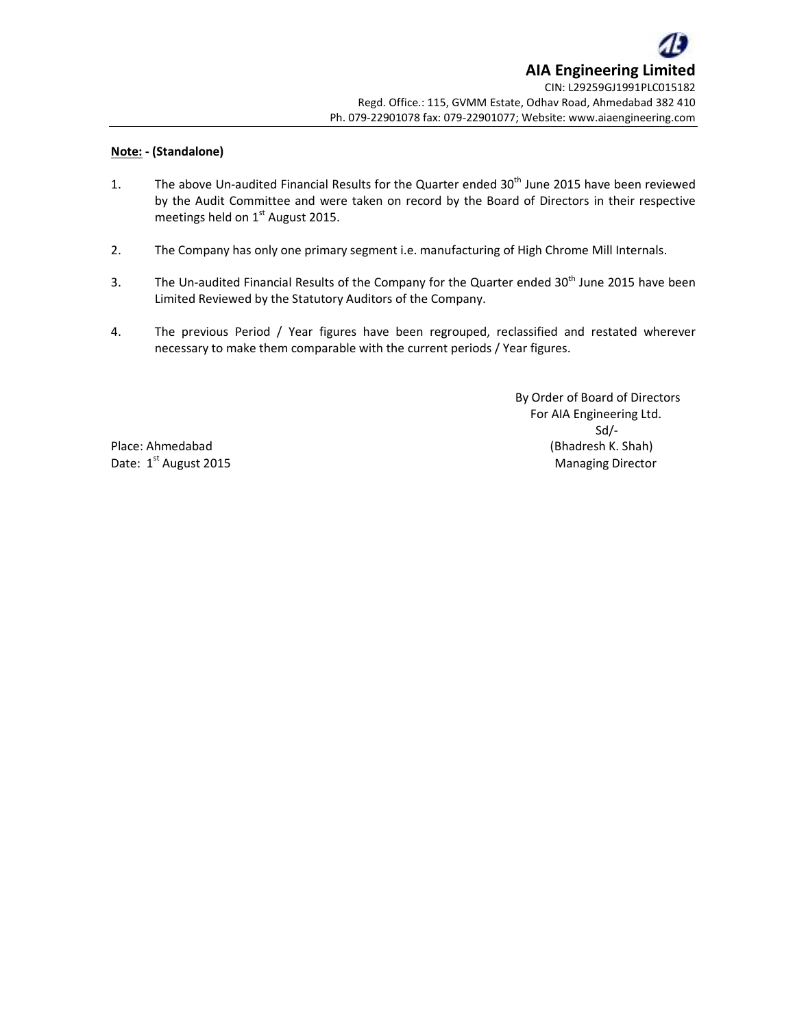## **Note: - (Standalone)**

- 1. The above Un-audited Financial Results for the Quarter ended 30<sup>th</sup> June 2015 have been reviewed by the Audit Committee and were taken on record by the Board of Directors in their respective meetings held on  $1<sup>st</sup>$  August 2015.
- 2. The Company has only one primary segment i.e. manufacturing of High Chrome Mill Internals.
- 3. The Un-audited Financial Results of the Company for the Quarter ended 30<sup>th</sup> June 2015 have been Limited Reviewed by the Statutory Auditors of the Company.
- 4. The previous Period / Year figures have been regrouped, reclassified and restated wherever necessary to make them comparable with the current periods / Year figures.

 By Order of Board of Directors For AIA Engineering Ltd. Sd/- Place: Ahmedabad (Bhadresh K. Shah) Date: 1<sup>st</sup> August 2015 **Managing Director** Managing Director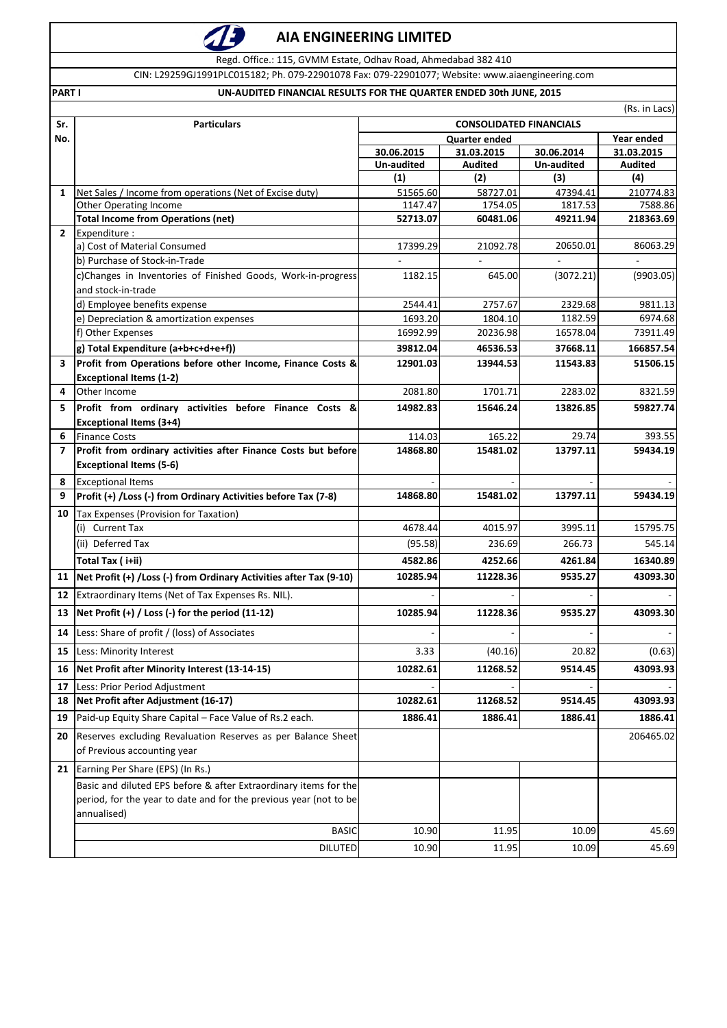## **AIA ENGINEERING LIMITED**

Regd. Office.: 115, GVMM Estate, Odhav Road, Ahmedabad 382 410

CIN: L29259GJ1991PLC015182; Ph. 079-22901078 Fax: 079-22901077; Website: www.aiaengineering.com

### **PART I UN-AUDITED FINANCIAL RESULTS FOR THE QUARTER ENDED 30th JUNE, 2015**

|                          | (Rs. in Lacs)                                                                                                                                        |                                |                     |                     |                       |
|--------------------------|------------------------------------------------------------------------------------------------------------------------------------------------------|--------------------------------|---------------------|---------------------|-----------------------|
| Sr.                      | <b>Particulars</b>                                                                                                                                   | <b>CONSOLIDATED FINANCIALS</b> |                     |                     |                       |
| No.                      |                                                                                                                                                      | <b>Quarter ended</b>           |                     |                     | Year ended            |
|                          |                                                                                                                                                      | 30.06.2015                     | 31.03.2015          | 30.06.2014          | 31.03.2015            |
|                          |                                                                                                                                                      | Un-audited<br>(1)              | Audited<br>(2)      | Un-audited<br>(3)   | <b>Audited</b><br>(4) |
| $\mathbf{1}$             | Net Sales / Income from operations (Net of Excise duty)                                                                                              | 51565.60                       | 58727.01            | 47394.41            | 210774.83             |
|                          | Other Operating Income                                                                                                                               | 1147.47                        | 1754.05             | 1817.53             | 7588.86               |
|                          | <b>Total Income from Operations (net)</b>                                                                                                            | 52713.07                       | 60481.06            | 49211.94            | 218363.69             |
| $\mathbf{2}$             | Expenditure:                                                                                                                                         |                                |                     |                     |                       |
|                          | a) Cost of Material Consumed                                                                                                                         | 17399.29                       | 21092.78            | 20650.01            | 86063.29              |
|                          | b) Purchase of Stock-in-Trade                                                                                                                        |                                |                     |                     |                       |
|                          | c)Changes in Inventories of Finished Goods, Work-in-progress                                                                                         | 1182.15                        | 645.00              | (3072.21)           | (9903.05)             |
|                          | and stock-in-trade                                                                                                                                   |                                |                     |                     |                       |
|                          | d) Employee benefits expense                                                                                                                         | 2544.41                        | 2757.67             | 2329.68             | 9811.13               |
|                          | e) Depreciation & amortization expenses<br>f) Other Expenses                                                                                         | 1693.20<br>16992.99            | 1804.10<br>20236.98 | 1182.59<br>16578.04 | 6974.68<br>73911.49   |
|                          |                                                                                                                                                      |                                | 46536.53            | 37668.11            | 166857.54             |
|                          | g) Total Expenditure (a+b+c+d+e+f))<br>Profit from Operations before other Income, Finance Costs &                                                   | 39812.04                       |                     |                     |                       |
| з                        | <b>Exceptional Items (1-2)</b>                                                                                                                       | 12901.03                       | 13944.53            | 11543.83            | 51506.15              |
| 4                        | Other Income                                                                                                                                         | 2081.80                        | 1701.71             | 2283.02             | 8321.59               |
| 5                        | Profit from ordinary activities before Finance Costs &                                                                                               | 14982.83                       | 15646.24            | 13826.85            | 59827.74              |
|                          | <b>Exceptional Items (3+4)</b>                                                                                                                       |                                |                     |                     |                       |
| 6                        | <b>Finance Costs</b>                                                                                                                                 | 114.03                         | 165.22              | 29.74               | 393.55                |
| $\overline{\phantom{a}}$ | Profit from ordinary activities after Finance Costs but before                                                                                       | 14868.80                       | 15481.02            | 13797.11            | 59434.19              |
|                          | <b>Exceptional Items (5-6)</b>                                                                                                                       |                                |                     |                     |                       |
| 8                        | <b>Exceptional Items</b>                                                                                                                             |                                |                     |                     |                       |
| 9                        | Profit (+) /Loss (-) from Ordinary Activities before Tax (7-8)                                                                                       | 14868.80                       | 15481.02            | 13797.11            | 59434.19              |
| 10                       | Tax Expenses (Provision for Taxation)                                                                                                                |                                |                     |                     |                       |
|                          | (i) Current Tax                                                                                                                                      | 4678.44                        | 4015.97             | 3995.11             | 15795.75              |
|                          | (ii) Deferred Tax                                                                                                                                    | (95.58)                        | 236.69              | 266.73              | 545.14                |
|                          | Total Tax (i+ii)                                                                                                                                     | 4582.86                        | 4252.66             | 4261.84             | 16340.89              |
| 11                       | Net Profit (+) / Loss (-) from Ordinary Activities after Tax (9-10)                                                                                  | 10285.94                       | 11228.36            | 9535.27             | 43093.30              |
| 12                       | Extraordinary Items (Net of Tax Expenses Rs. NIL).                                                                                                   |                                |                     |                     |                       |
| 13                       | Net Profit (+) / Loss (-) for the period (11-12)                                                                                                     | 10285.94                       | 11228.36            | 9535.27             | 43093.30              |
| 14                       | Less: Share of profit / (loss) of Associates                                                                                                         |                                |                     |                     |                       |
| 15                       | Less: Minority Interest                                                                                                                              | 3.33                           | (40.16)             | 20.82               | (0.63)                |
| 16                       | Net Profit after Minority Interest (13-14-15)                                                                                                        | 10282.61                       | 11268.52            | 9514.45             | 43093.93              |
| 17                       | Less: Prior Period Adjustment                                                                                                                        |                                |                     |                     |                       |
| 18                       | Net Profit after Adjustment (16-17)                                                                                                                  | 10282.61                       | 11268.52            | 9514.45             | 43093.93              |
| 19                       | Paid-up Equity Share Capital - Face Value of Rs.2 each.                                                                                              | 1886.41                        | 1886.41             | 1886.41             | 1886.41               |
|                          |                                                                                                                                                      |                                |                     |                     |                       |
| 20                       | Reserves excluding Revaluation Reserves as per Balance Sheet<br>of Previous accounting year                                                          |                                |                     |                     | 206465.02             |
| 21                       | Earning Per Share (EPS) (In Rs.)                                                                                                                     |                                |                     |                     |                       |
|                          | Basic and diluted EPS before & after Extraordinary items for the<br>period, for the year to date and for the previous year (not to be<br>annualised) |                                |                     |                     |                       |
|                          | <b>BASIC</b>                                                                                                                                         | 10.90                          | 11.95               | 10.09               | 45.69                 |
|                          | <b>DILUTED</b>                                                                                                                                       | 10.90                          | 11.95               | 10.09               | 45.69                 |
|                          |                                                                                                                                                      |                                |                     |                     |                       |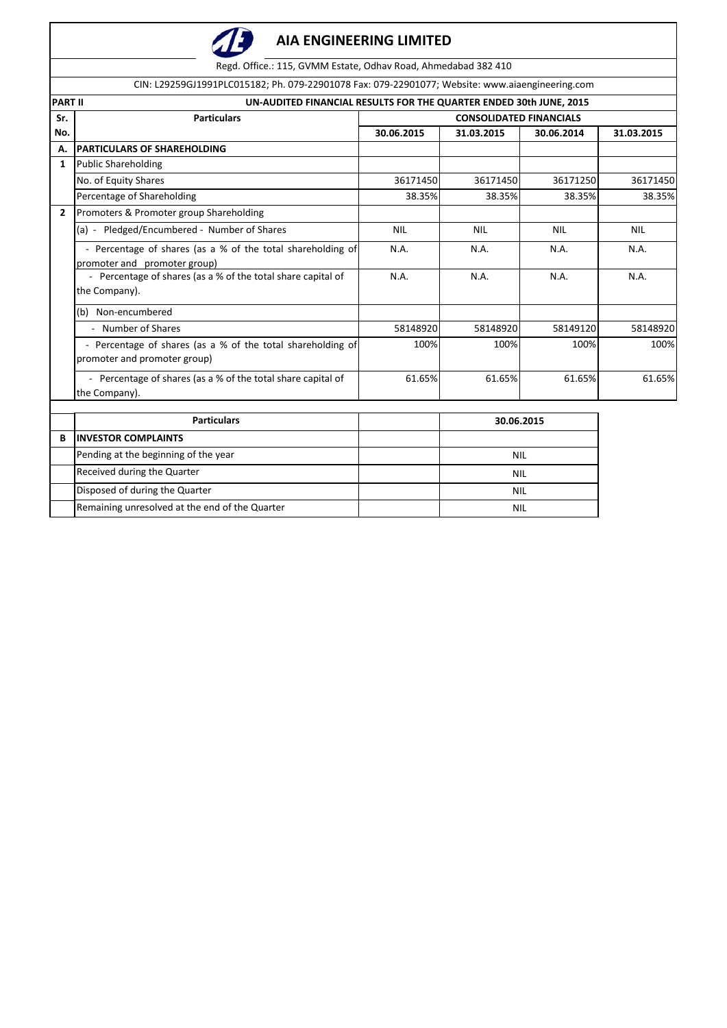

Regd. Office.: 115, GVMM Estate, Odhav Road, Ahmedabad 382 410

|                | CIN: L29259GJ1991PLC015182; Ph. 079-22901078 Fax: 079-22901077; Website: www.aiaengineering.com |                                |            |            |            |  |
|----------------|-------------------------------------------------------------------------------------------------|--------------------------------|------------|------------|------------|--|
| <b>PART II</b> | UN-AUDITED FINANCIAL RESULTS FOR THE QUARTER ENDED 30th JUNE, 2015                              |                                |            |            |            |  |
| Sr.            | <b>Particulars</b>                                                                              | <b>CONSOLIDATED FINANCIALS</b> |            |            |            |  |
| No.            |                                                                                                 | 30.06.2015                     | 31.03.2015 | 30.06.2014 | 31.03.2015 |  |
| А.             | <b>PARTICULARS OF SHAREHOLDING</b>                                                              |                                |            |            |            |  |
| $\mathbf{1}$   | <b>Public Shareholding</b>                                                                      |                                |            |            |            |  |
|                | No. of Equity Shares                                                                            | 36171450                       | 36171450   | 36171250   | 36171450   |  |
|                | Percentage of Shareholding                                                                      | 38.35%                         | 38.35%     | 38.35%     | 38.35%     |  |
| $\overline{2}$ | Promoters & Promoter group Shareholding                                                         |                                |            |            |            |  |
|                | (a) - Pledged/Encumbered - Number of Shares                                                     | <b>NIL</b>                     | <b>NIL</b> | <b>NIL</b> | <b>NIL</b> |  |
|                | - Percentage of shares (as a % of the total shareholding of<br>promoter and promoter group)     | N.A.                           | N.A.       | N.A.       | N.A.       |  |
|                | - Percentage of shares (as a % of the total share capital of<br>the Company).                   | N.A.                           | N.A.       | N.A.       | N.A.       |  |
|                | (b) Non-encumbered                                                                              |                                |            |            |            |  |
|                | - Number of Shares                                                                              | 58148920                       | 58148920   | 58149120   | 58148920   |  |
|                | - Percentage of shares (as a % of the total shareholding of<br>promoter and promoter group)     | 100%                           | 100%       | 100%       | 100%       |  |
|                | - Percentage of shares (as a % of the total share capital of<br>the Company).                   | 61.65%                         | 61.65%     | 61.65%     | 61.65%     |  |
|                | <b>Particulars</b>                                                                              |                                | 30.06.2015 |            |            |  |
| B              | <b>INVESTOR COMPLAINTS</b>                                                                      |                                |            |            |            |  |
|                | Pending at the beginning of the year                                                            |                                | <b>NIL</b> |            |            |  |
|                | Received during the Quarter                                                                     |                                |            | <b>NIL</b> |            |  |
|                | Disposed of during the Quarter                                                                  |                                | <b>NIL</b> |            |            |  |
|                | Remaining unresolved at the end of the Quarter                                                  |                                | <b>NIL</b> |            |            |  |